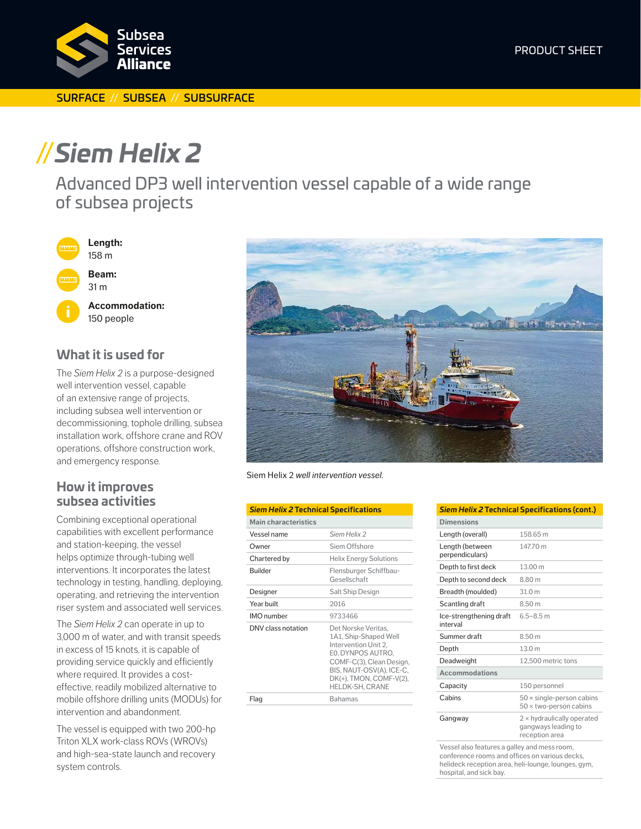

#### SURFACE // SUBSEA // SUBSURFACE

# **//***Siem Helix 2*

Advanced DP3 well intervention vessel capable of a wide range of subsea projects



## **What it is used for**

The *Siem Helix 2* is a purpose-designed well intervention vessel, capable of an extensive range of projects, including subsea well intervention or decommissioning, tophole drilling, subsea installation work, offshore crane and ROV operations, offshore construction work, and emergency response.

## **How it improves subsea activities**

Combining exceptional operational capabilities with excellent performance and station-keeping, the vessel helps optimize through-tubing well interventions. It incorporates the latest technology in testing, handling, deploying, operating, and retrieving the intervention riser system and associated well services.

The *Siem Helix 2* can operate in up to 3,000 m of water, and with transit speeds in excess of 15 knots, it is capable of providing service quickly and efficiently where required. It provides a costeffective, readily mobilized alternative to mobile offshore drilling units (MODUs) for intervention and abandonment.

The vessel is equipped with two 200-hp Triton XLX work-class ROVs (WROVs) and high-sea-state launch and recovery system controls.



Siem Helix 2 *well intervention vessel.*

| <b>Siem Helix 2 Technical Specifications</b> |                                                                                                                                                                                                 |
|----------------------------------------------|-------------------------------------------------------------------------------------------------------------------------------------------------------------------------------------------------|
| <b>Main characteristics</b>                  |                                                                                                                                                                                                 |
| Vessel name                                  | Siem Helix 2                                                                                                                                                                                    |
| Owner                                        | Siem Offshore                                                                                                                                                                                   |
| Chartered by                                 | <b>Helix Energy Solutions</b>                                                                                                                                                                   |
| Builder                                      | Flensburger Schiffbau-<br>Gesellschaft                                                                                                                                                          |
| Designer                                     | Salt Ship Design                                                                                                                                                                                |
| Year built                                   | 2016                                                                                                                                                                                            |
| <b>IMO</b> number                            | 9733466                                                                                                                                                                                         |
| DNV class notation                           | Det Norske Veritas.<br>1A1, Ship-Shaped Well<br>Intervention Unit 2.<br>EO, DYNPOS AUTRO,<br>COMF-C(3), Clean Design,<br>BIS, NAUT-OSV(A), ICE-C,<br>DK(+), TMON, COMF-V(2),<br>HELDK-SH, CRANE |
| Flag                                         | <b>Bahamas</b>                                                                                                                                                                                  |

|                                     | Siem Helix 2 Technical Specifications (cont.)                              |
|-------------------------------------|----------------------------------------------------------------------------|
| <b>Dimensions</b>                   |                                                                            |
| Length (overall)                    | 158 65 m                                                                   |
| Length (between<br>perpendiculars)  | 147.70 m                                                                   |
| Depth to first deck                 | 13.00 m                                                                    |
| Depth to second deck                | 8.80 m                                                                     |
| Breadth (moulded)                   | 31.0 <sub>m</sub>                                                          |
| Scantling draft                     | 8.50 m                                                                     |
| Ice-strengthening draft<br>interval | $6.5 - 8.5$ m                                                              |
| Summer draft                        | 8.50 m                                                                     |
| Depth                               | 13.0 m                                                                     |
| Deadweight                          | 12.500 metric tons                                                         |
| <b>Accommodations</b>               |                                                                            |
| Capacity                            | 150 personnel                                                              |
| Cabins                              | $50 \times$ single-person cabins<br>$50 \times$ two-person cabins          |
| Gangway                             | $2 \times$ hydraulically operated<br>gangways leading to<br>reception area |

Vessel also features a galley and mess room, conference rooms and offices on various decks, helideck reception area, heli-lounge, lounges, gym, hospital, and sick bay.